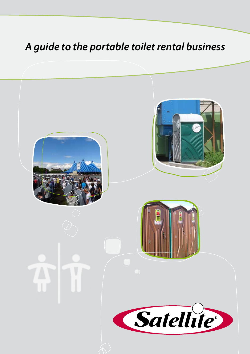# *A guide to the portable toilet rental business*

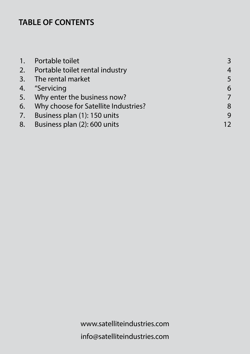## **TABLE OF CONTENTS**

| 1. Portable toilet                      | 3              |
|-----------------------------------------|----------------|
| 2. Portable toilet rental industry      | $\overline{4}$ |
| 3. The rental market                    | 5              |
| 4. "Servicing                           | 6              |
| 5. Why enter the business now?          | 7              |
| 6. Why choose for Satellite Industries? | 8              |
| 7. Business plan (1): 150 units         | 9              |
| 8. Business plan (2): 600 units         | 12             |
|                                         |                |

www.satelliteindustries.com info@satelliteindustries.com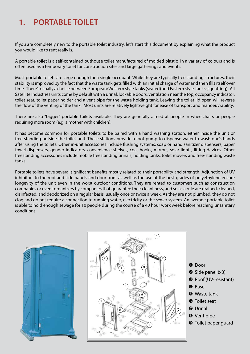## **1. PORTABLE TOILET**

If you are completely new to the portable toilet industry, let's start this document by explaining what the product you would like to rent really is.

A portable toilet is a self-contained outhouse toilet manufactured of molded plastic in a variety of colours and is often used as a temporary toilet for construction sites and large gatherings and events.

Most portable toilets are large enough for a single occupant. While they are typically free standing structures, their stability is improved by the fact that the waste tank gets filled with an initial charge of water and then fills itself over time . There's usually a choice between European/Western style tanks (seated) and Eastern style tanks (squatting). All Satellite Industries units come by default with a urinal, lockable doors, ventilation near the top, occupancy indicator, toilet seat, toilet paper holder and a vent pipe for the waste holding tank. Leaving the toilet lid open will reverse the flow of the venting of the tank. Most units are relatively lightweight for ease of transport and manoeuvrability.

There are also "bigger" portable toilets available. They are generally aimed at people in wheelchairs or people requiring more room (e.g. a mother with children).

It has become common for portable toilets to be paired with a hand washing station, either inside the unit or free-standing outside the toilet unit. These stations provide a foot pump to dispense water to wash one's hands after using the toilets. Other in-unit accessories include flushing systems, soap or hand sanitizer dispensers, paper towel dispensers, gender indicators, convenience shelves, coat hooks, mirrors, solar lights, lifting devices. Other freestanding accessories include mobile freestanding urinals, holding tanks, toilet movers and free-standing waste tanks.

Portable toilets have several significant benefits mostly related to their portability and strength. Adjunction of UV inhibitors to the roof and side panels and door front as well as the use of the best grades of polyethylene ensure longevity of the unit even in the worst outdoor conditions. They are rented to customers such as construction companies or event organizers by companies that guarantee their cleanliness, and so as a rule are drained, cleaned, disinfected, and deodorized on a regular basis, usually once or twice a week. As they are not plumbed, they do not clog and do not require a connection to running water, electricity or the sewer system. An average portable toilet is able to hold enough sewage for 10 people during the course of a 40 hour work week before reaching unsanitary conditions.





- $\bullet$  Door
- $\bullet$  Side panel (x3)
- 8 Roof (UV-resistant)
- **O** Base
- **&** Waste tank
- **<sup>O</sup>** Toilet seat
- **Q** Urinal
- **8** Vent pipe
- **<sup>O</sup>** Toilet paper guard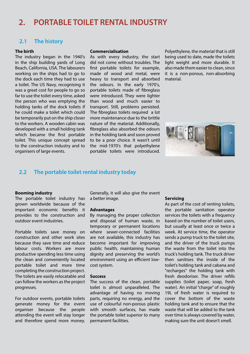## **2. PORTABLE TOILET RENTAL INDUSTRY**

### **2.1 The history**

#### **The birth**

The industry began in the 1940's in the ship building yards of Long Beach, California, USA. The labourers working on the ships had to go to the dock each time they had to use a toilet. The US Navy, recognising it was a great cost for people to go so far to use the toilet every time, asked the person who was emptying the holding tanks of the dock toilets if he could make a toilet which could be temporarily put on the ship closer to the workers. A wooden cabin was developed with a small holding tank which became the first portable toilet. This unique concept spread to the construction industry and to organisers of large events.

#### **Commercialisation**

As with every industry, the start did not come without troubles. The first portable toilets for example, made of wood and metal, were heavy to transport and absorbed the odours. In the early 1970's, portable toilets made of fibreglass were introduced. They were lighter than wood and much easier to transport. Still, problems persisted. The fibreglass toilets required a lot more maintenance due to the brittle nature of the material. Additionally, fibreglass also absorbed the odours in the holding tank and soon proved to be a poor choice. It wasn't until the mid-1970's that polyethylene portable toilets were introduced.

Polyethylene, the material that is still being used to date, made the toilets light weight and more durable. It also made them easier to clean, since it is a non-porous, non-absorbing material.



### **2.2 The portable toilet rental industry today**

#### **Booming industry**

The portable toilet industry has grown worldwide because of the important economic benefits it provides to the construction and outdoor event industries.

Portable toilets save money on construction and other work sites because they save time and reduce labour costs. Workers are more productive spending less time using the clean and conveniently located portable toilet and more time completing the construction project. The toilets are easily relocatable and can follow the workers as the project progresses.

For outdoor events, portable toilets generate money for the event organiser because the people attending the event will stay longer and therefore spend more money. Generally, it will also give the event a better image.

#### **Advantages**

By managing the proper collection and disposal of human waste, in temporary or permanent locations where sewer-connected facilities are not available, this industry has become important for improving public health, maintaining human dignity and preserving the world's environment using an efficient lowcost system.

#### **Success**

The success of the clean, portable toilet is almost unparalleled. The advantage of having no moving parts, requiring no energy, and the use of colourful non-porous plastic with smooth surfaces, has made the portable toilet superior to many permanent facilities.

#### **Servicing**

As part of the cost of renting toilets, the portable sanitation operator services the toilets with a frequency based on the number of toilet users, but usually at least once or twice a week. At service time, the operator sends a pump truck to the toilet site, and the driver of the truck pumps the waste from the toilet into the truck's holding tank. The truck driver then sanitises the inside of the toilet's holding tank and cabana and "recharges" the holding tank with fresh deodoriser. The driver refills supplies (toilet paper, soap, fresh water). An initial "charge" of roughly 19L of fresh water is required to cover the bottom of the waste holding tank and to ensure that the waste that will be added to the tank over time is always covered by water, making sure the unit doesn't smell.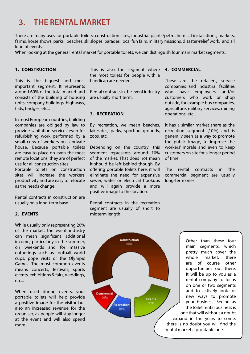## **3. THE RENTAL MARKET**

There are many uses for portable toilets: construction sites, industrial plants/petrochemical installations, markets, farms, horse shows, parks, beaches, ski slopes, parades, local fun fairs, military missions, disaster-relief work, and all kind of events.

When looking at the general rental market for portable toilets, we can distinguish four main market segments:

#### **1. CONSTRUCTION**

This is the biggest and most important segment. It represents around 60% of the total market and consists of the building of housing units, company buildings, highways, flats, bridges, etc...

In most European countries, building companies are obliged by law to provide sanitation services even for refurbishing work performed by a small crew of workers on a private house. Because portable toilets are easy to place on even the most remote locations, they are of perfect use for all construction sites. Portable toilets on construction

sites will increase the workers' productivity and are easy to relocate as the needs change.

Rental contracts in construction are usually on a long-term base.

#### **2. EVENTS**

While usually only representing 20% of the market, the event industry can mean significant additional income, particularly in the summer, on weekends and for massive gatherings such as football world cups, pope visits or the Olympic Games. The most common events means concerts, festivals, sports events, exhibitions & fairs, weddings, etc...

When used during events, your portable toilets will help provide a positive image for the visitor but also an increased revenue for the organiser, as people will stay longer at the event and will also spend more.

This is also the segment where the most toilets for people with a handicap are needed.

Rental contracts in the event industry are usually short term.

#### **3. RECREATION**

By recreation, we mean beaches, lakesides, parks, sporting grounds, zoos, etc...

Depending on the country, this segment represents around 10% of the market. That does not mean it should be left behind though. By offering portable toilets here, it will eliminate the need for expensive sewer, water or electrical hookups and will again provide a more positive image to the location.

Rental contracts in the recreation segment are usually of short to midterm length.

#### **4. COMMERCIAL**

These are the retailers, service companies and industrial facilities who have employees and/or customers who work or shop outside, for example bus companies, agriculture, military services, mining operations, etc...

It has a similar market share as the recreation segment (10%) and is generally seen as a way to promote the public image, to improve the workers' morale and even to keep customers on site for a longer period of time.

The rental contracts in the commercial segment are usually long-term ones.



Other than these four main segments, which pretty much cover the whole market, there are of course other opportunities out there. It will be up to you as a rental company to focus on one or two segments and to actively look for new ways to promote your business. Seeing as the toilet rental business is one that will without a doubt expand in the years to come, there is no doubt you will find the rental market a profitable one.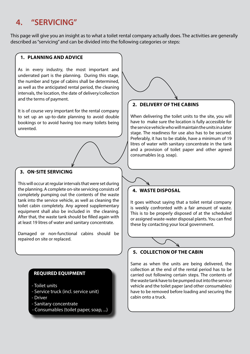## **4. "SERVICING"**

This page will give you an insight as to what a toilet rental company actually does. The activities are generally described as "servicing" and can be divided into the following categories or steps:

### **1. PLANNING AND ADVICE**

As in every industry, the most important and underrated part is the planning. During this stage, the number and type of cabins shall be determined, as well as the anticipated rental period, the cleaning intervals, the location, the date of delivery/collection and the terms of payment.

It is of course very important for the rental company to set up an up-to-date planning to avoid double bookings or to avoid having too many toilets being unrented.

### **3. ON-SITE SERVICING**

This will occur at regular intervals that were set during the planning. A complete on-site servicing consists of completely pumping out the contents of the waste tank into the service vehicle, as well as cleaning the toilet cabin completely. Any agreed supplementary equipment shall also be included in the cleaning. After that, the waste tank should be filled again with at least 19 litres of water and sanitary concentrate.

Damaged or non-functional cabins should be repaired on site or replaced.

### **REQUIRED EQUIPMENT**

- Toilet units
- Service truck (incl. service unit)
- Driver
- Sanitary concentrate
- Consumables (toilet paper, soap, ...)

### **2. DELIVERY OF THE CABINS**

When delivering the toilet units to the site, you will have to make sure the location is fully accessible for the service vehicle who will maintain the units in a later stage. The readiness for use also has to be secured. Preferably, it has to be stable, have a minimum of 19 litres of water with sanitary concentrate in the tank and a provision of toilet paper and other agreed consumables (e.g. soap).

### **4. WASTE DISPOSAL**

It goes without saying that a toilet rental company is weekly confronted with a fair amount of waste. This is to be properly disposed of at the scheduled or assigned waste-water disposal plants. You can find these by contacting your local government.

### **5. COLLECTION OF THE CABIN**

Same as when the units are being delivered, the collection at the end of the rental period has to be carried out following certain steps. The contents of the waste tank have to be pumped out into the service vehicle and the toilet paper (and other consumables) have to be removed before loading and securing the cabin onto a truck.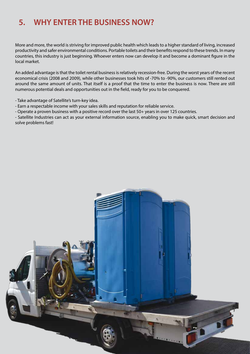## **5. WHY ENTER THE BUSINESS NOW?**

More and more, the world is striving for improved public health which leads to a higher standard of living, increased productivity and safer environmental conditions. Portable toilets and their benefits respond to these trends. In many countries, this industry is just beginning. Whoever enters now can develop it and become a dominant figure in the local market.

An added advantage is that the toilet rental business is relatively recession-free. During the worst years of the recent economical crisis (2008 and 2009), while other businesses took hits of -70% to -90%, our customers still rented out around the same amount of units. That itself is a proof that the time to enter the business is now. There are still numerous potential deals and opportunities out in the field, ready for you to be conquered.

- Take advantage of Satellite's turn-key idea.

- Earn a respectable income with your sales skills and reputation for reliable service.
- Operate a proven business with a positive record over the last 50+ years in over 125 countries.

- Satellite Industries can act as your external information source, enabling you to make quick, smart decision and solve problems fast!

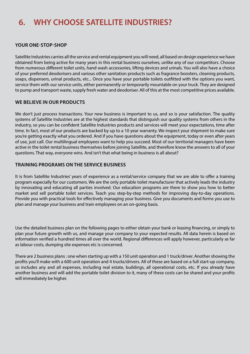## **6. WHY CHOOSE SATELLITE INDUSTRIES?**

### **YOUR ONE-STOP-SHOP**

Satellite Industries carries all the service and rental equipment you will need, all based on design experience we have obtained from being active for many years in this rental business ourselves, unlike any of our competitors. Choose from numerous different toilet units, hand wash accessories, lifting devices and urinals. You will also have a choice of your preferred deodorisers and various other sanitation products such as fragrance boosters, cleaning products, soaps, dispensers, urinal products, etc... Once you have your portable toilets outfitted with the options you want, service them with our service units, either permanently or temporarily mountable on your truck. They are designed to pump and transport waste, supply fresh water and deodoriser. All of this at the most competitive prices available.

### **WE BELIEVE IN OUR PRODUCTS**

We don't just process transactions. Your new business is important to us, and so is your satisfaction. The quality systems of Satellite Industries are at the highest standards that distinguish our quality systems from others in the industry, so you can be confident Satellite Industries products and services will meet your expectations, time after time. In fact, most of our products are backed by up to a 10 year warranty. We inspect your shipment to make sure you're getting exactly what you ordered. And if you have questions about the equipment, today or even after years of use, just call. Our multilingual employees want to help you succeed. Most of our territorial managers have been active in the toilet rental business themselves before joining Satellite, and therefore know the answers to all of your questions. That way, everyone wins. And isn't that what being in business is all about?

### **TRAINING PROGRAMS ON THE SERVICE BUSINESS**

It is from Satellite Industries' years of experience as a rental/service company that we are able to offer a training program especially for our customers. We are the only portable toilet manufacturer that actively leads the industry by innovating and educating all parties involved. Our education programs are there to show you how to better market and sell portable toilet services. Teach you step-by-step methods for improving day-to-day operations. Provide you with practical tools for effectively managing your business. Give you documents and forms you use to plan and manage your business and train employees on an on-going basis.

Use the detailed business plan on the following pages to either obtain your bank or leasing financing, or simply to plan your future growth with us, and manage your company to your expected results. All data herein is based on information verified a hundred times all over the world. Regional differences will apply however, particularly as far as labour costs, dumping site expenses etc is concerned.

There are 2 business plans : one when starting up with a 150 unit operation and 1 truck/driver. Another showing the profits you'll make with a 600 unit operation and 4 trucks/drivers. All of these are based on a full start-up company, so includes any and all expenses, including real estate, buildings, all operational costs, etc. If you already have another business and will add the portable toilet division to it, many of these costs can be shared and your profits will immediately be higher.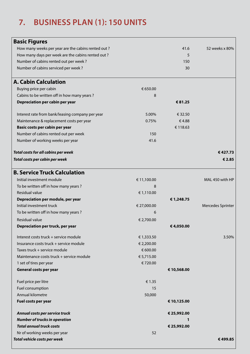## **7. BUSINESS PLAN (1): 150 UNITS**

| <b>Basic Figures</b>                               |             |             |                          |
|----------------------------------------------------|-------------|-------------|--------------------------|
| How many weeks per year are the cabins rented out? |             | 41.6        | 52 weeks x 80%           |
| How many days per week are the cabins rented out?  |             | 5           |                          |
| Number of cabins rented out per week?              |             | 150         |                          |
| Number of cabins serviced per week?                |             | 30          |                          |
|                                                    |             |             |                          |
| <b>A. Cabin Calculation</b>                        |             |             |                          |
| Buying price per cabin                             | € 650.00    |             |                          |
| Cabins to be written off in how many years?        | 8           |             |                          |
| Depreciation per cabin per year                    |             | € 81.25     |                          |
| Interest rate from bank/leasing company per year   | 5.00%       | € 32.50     |                          |
| Maintenance & replacement costs per year           | 0.75%       | €4.88       |                          |
| Basic costs per cabin per year                     |             | € 118.63    |                          |
| Number of cabins rented out per week               | 150         |             |                          |
| Number of working weeks per year                   | 41.6        |             |                          |
|                                                    |             |             |                          |
| <b>Total costs for all cabins per week</b>         |             |             | €427.73                  |
| Total costs per cabin per week                     |             |             | € 2.85                   |
| <b>B. Service Truck Calculation</b>                |             |             |                          |
| Initial investment module                          | € 11,100.00 |             | MAL 450 with HP          |
| To be written off in how many years?               | 8           |             |                          |
| Residual value                                     | € 1,110.00  |             |                          |
| Depreciation per module, per year                  |             | €1,248.75   |                          |
| Initial investment truck                           | € 27,000.00 |             | <b>Mercedes Sprinter</b> |
| To be written off in how many years?               | 6           |             |                          |
| <b>Residual value</b>                              | € 2,700.00  |             |                          |
| Depreciation per truck, per year                   |             | €4,050.00   |                          |
| Interest costs truck + service module              | € 1,333.50  |             | 3.50%                    |
| Insurance costs truck + service module             | € 2,200.00  |             |                          |
| Taxes truck + service module                       | € 600.00    |             |                          |
| Maintenance costs truck + service module           | € 5,715.00  |             |                          |
| 1 set of tires per year                            | €720.00     |             |                          |
| General costs per year                             |             | € 10,568.00 |                          |
| Fuel price per litre                               | € 1.35      |             |                          |
| Fuel consumption                                   | 15          |             |                          |
| Annual kilometre                                   | 50,000      |             |                          |
| Fuel costs per year                                |             | € 10,125.00 |                          |
| Annual costs per service truck                     |             | € 25,992.00 |                          |
| <b>Number of trucks in operation</b>               |             |             |                          |
| <b>Total annual truck costs</b>                    |             | € 25,992.00 |                          |
| Nr of working weeks per year                       | 52          |             |                          |
| Total vehicle costs per week                       |             |             | €499.85                  |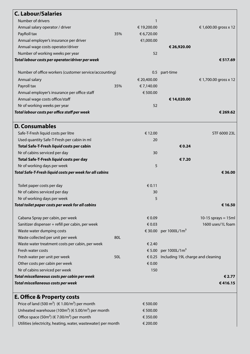| <b>C. Labour/Salaries</b>                                                  |     |             |                                          |                       |
|----------------------------------------------------------------------------|-----|-------------|------------------------------------------|-----------------------|
| Number of drivers                                                          |     | 1           |                                          |                       |
| Annual salary operator / driver                                            |     | € 19,200.00 |                                          | €1,600.00 gross x 12  |
| PayRoll tax                                                                | 35% | € 6,720.00  |                                          |                       |
| Annual employer's insurance per driver                                     |     | €1,000.00   |                                          |                       |
| Annual wage costs operator/driver                                          |     |             | € 26,920.00                              |                       |
| Number of working weeks per year                                           |     | 52          |                                          |                       |
| Total labour costs per operator/driver per week                            |     |             |                                          | € 517.69              |
| Number of office workers (customer service/accounting)                     |     |             | 0.5 part-time                            |                       |
| Annual salary                                                              |     | € 20,400.00 |                                          | €1,700.00 gross x 12  |
| Payroll tax                                                                | 35% | € 7,140.00  |                                          |                       |
| Annual employer's insurance per office staff                               |     | € 500.00    |                                          |                       |
| Annual wage costs office/staff                                             |     |             | €14,020.00                               |                       |
| Nr of working weeks per year                                               |     | 52          |                                          |                       |
| Total labour costs per office staff per week                               |     |             |                                          | € 269.62              |
| <b>D. Consumables</b>                                                      |     |             |                                          |                       |
| Safe-T-Fresh liquid costs per litre                                        |     | € 12.00     |                                          | STF 6000 23L          |
| Used quantity Safe-T-Fresh per cabin in ml                                 |     | 20          |                                          |                       |
| Total Safe-T-Fresh liquid costs per cabin                                  |     |             | € 0.24                                   |                       |
| Nr of cabins serviced per day                                              |     | 30          |                                          |                       |
| Total Safe-T-Fresh liquid costs per day                                    |     |             | €7.20                                    |                       |
| Nr of working days per week                                                |     | 5           |                                          |                       |
| Total Safe-T-Fresh liquid costs per week for all cabins                    |     |             |                                          | € 36.00               |
| Toilet paper costs per day                                                 |     | € 0.11      |                                          |                       |
| Nr of cabins serviced per day                                              |     | 30          |                                          |                       |
| Nr of working days per week                                                |     | 5           |                                          |                       |
| Total toilet paper costs per week for all cabins                           |     |             |                                          | € 16.50               |
| Cabana Spray per cabin, per week                                           |     | € 0.09      |                                          | 10-15 sprays = $15ml$ |
| Sanitizer dispenser + refill per cabin, per week                           |     | € 0.03      |                                          | 1600 uses/1L foam     |
| Waste water dumping costs                                                  |     |             | € 30.00 per 1000L/1m <sup>3</sup>        |                       |
| Waste collected per unit per week                                          | 80L |             |                                          |                       |
| Waste water treatment costs per cabin, per week                            |     | € 2.40      |                                          |                       |
| Fresh water costs                                                          |     |             | € 5.00 per 1000L/1m <sup>3</sup>         |                       |
| Fresh water per unit per week                                              | 50L |             | € 0.25 Including 19L charge and cleaning |                       |
| Other costs per cabin per week                                             |     | € 0.00      |                                          |                       |
| Nr of cabins serviced per week                                             |     | 150         |                                          |                       |
| Total miscellaneous costs per cabin per week                               |     |             |                                          | € 2.77                |
| Total miscellaneous costs per week                                         |     |             |                                          | €416.15               |
| <b>E. Office &amp; Property costs</b>                                      |     |             |                                          |                       |
| Price of land (500 m <sup>2</sup> ) ( $\in 1.00/m^2$ ) per month           |     | € 500.00    |                                          |                       |
| Unheated warehouse (100m <sup>2</sup> ) (€ 5.00/m <sup>2</sup> ) per month |     | € 500.00    |                                          |                       |
| Office space (50m <sup>2</sup> ) ( $\in$ 7.00/m <sup>2</sup> ) per month   |     | € 350.00    |                                          |                       |

Utilities (electricity, heating, water, wastewater) per month  $\epsilon$  200.00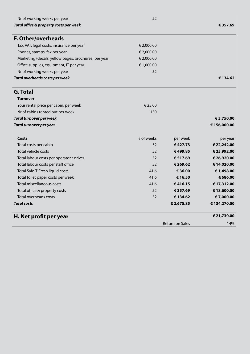| Nr of working weeks per year                         | 52         |                        |             |
|------------------------------------------------------|------------|------------------------|-------------|
| Total office & property costs per week               |            |                        | € 357.69    |
| <b>F. Other/overheads</b>                            |            |                        |             |
| Tax, VAT, legal costs, insurance per year            | € 2,000.00 |                        |             |
| Phones, stamps, fax per year                         | € 2,000.00 |                        |             |
| Marketing (decals, yellow pages, brochures) per year | € 2,000.00 |                        |             |
| Office supplies, equipment, IT per year              | € 1,000.00 |                        |             |
| Nr of working weeks per year                         | 52         |                        |             |
| Total overheads costs per week                       |            |                        | € 134.62    |
| <b>G. Total</b>                                      |            |                        |             |
| <b>Turnover</b>                                      |            |                        |             |
| Your rental price per cabin, per week                | € 25.00    |                        |             |
| Nr of cabins rented out per week                     | 150        |                        |             |
| <b>Total turnover per week</b>                       |            |                        | € 3,750.00  |
| <b>Total turnover per year</b>                       |            |                        | €156,000.00 |
| Costs                                                | # of weeks | per week               | per year    |
| Total costs per cabin                                | 52         | €427.73                | € 22,242.00 |
| Total vehicle costs                                  | 52         | €499.85                | € 25,992.00 |
| Total labour costs per operator / driver             | 52         | € 517.69               | € 26,920.00 |
| Total labour costs per staff office                  | 52         | € 269.62               | € 14,020.00 |
| Total Safe-T-Fresh liquid costs                      | 41.6       | € 36.00                | € 1,498.00  |
| Total toilet paper costs per week                    | 41.6       | € 16.50                | € 686.00    |
| Total miscellaneous costs                            | 41.6       | €416.15                | € 17,312.00 |
| Total office & property costs                        | 52         | € 357.69               | € 18,600.00 |
| Total overheads costs                                | 52         | € 134.62               | €7,000.00   |
| <b>Total costs</b>                                   |            | € 2,675.85             | €134,270.00 |
| H. Net profit per year                               |            |                        | € 21,730.00 |
|                                                      |            | <b>Return on Sales</b> | 14%         |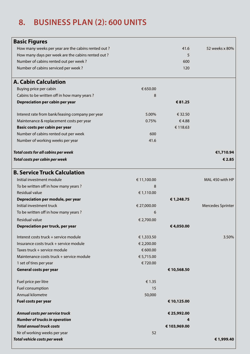## **8. BUSINESS PLAN (2): 600 UNITS**

| <b>Basic Figures</b>                               |             |              |                   |
|----------------------------------------------------|-------------|--------------|-------------------|
| How many weeks per year are the cabins rented out? |             | 41.6         | 52 weeks x 80%    |
| How many days per week are the cabins rented out?  |             | 5            |                   |
| Number of cabins rented out per week?              |             | 600          |                   |
| Number of cabins serviced per week?                |             | 120          |                   |
| <b>A. Cabin Calculation</b>                        |             |              |                   |
| Buying price per cabin                             | € 650.00    |              |                   |
| Cabins to be written off in how many years?        | 8           |              |                   |
| Depreciation per cabin per year                    |             | € 81.25      |                   |
| Interest rate from bank/leasing company per year   | 5.00%       | € 32.50      |                   |
| Maintenance & replacement costs per year           | 0.75%       | €4.88        |                   |
| Basic costs per cabin per year                     |             | € 118.63     |                   |
| Number of cabins rented out per week               | 600         |              |                   |
| Number of working weeks per year                   | 41.6        |              |                   |
|                                                    |             |              |                   |
| <b>Total costs for all cabins per week</b>         |             |              | €1,710.94         |
| Total costs per cabin per week                     |             |              | € 2.85            |
| <b>B. Service Truck Calculation</b>                |             |              |                   |
| Initial investment module                          | € 11,100.00 |              | MAL 450 with HP   |
| To be written off in how many years?               | 8           |              |                   |
| Residual value                                     | € 1,110.00  |              |                   |
| Depreciation per module, per year                  |             | €1,248.75    |                   |
| Initial investment truck                           | € 27,000.00 |              | Mercedes Sprinter |
| To be written off in how many years?               | 6           |              |                   |
| Residual value                                     | € 2,700.00  |              |                   |
| Depreciation per truck, per year                   |             | €4,050.00    |                   |
| Interest costs truck + service module              | € 1,333.50  |              | 3.50%             |
| Insurance costs truck + service module             | € 2,200.00  |              |                   |
| Taxes truck + service module                       | € 600.00    |              |                   |
| Maintenance costs truck + service module           | € 5,715.00  |              |                   |
| 1 set of tires per year                            | €720.00     |              |                   |
| General costs per year                             |             | € 10,568.50  |                   |
| Fuel price per litre                               | € 1.35      |              |                   |
| Fuel consumption                                   | 15          |              |                   |
| Annual kilometre                                   | 50,000      |              |                   |
| Fuel costs per year                                |             | € 10,125.00  |                   |
| Annual costs per service truck                     |             | € 25,992.00  |                   |
| <b>Number of trucks in operation</b>               |             |              |                   |
| <b>Total annual truck costs</b>                    |             | € 103,969.00 |                   |
| Nr of working weeks per year                       | 52          |              |                   |
| Total vehicle costs per week                       |             |              | € 1,999.40        |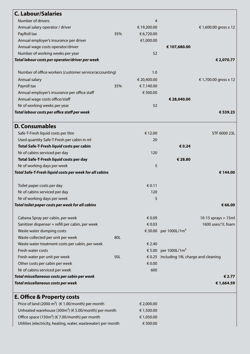| <b>C. Labour/Salaries</b>                               |     |             |                                          |                       |
|---------------------------------------------------------|-----|-------------|------------------------------------------|-----------------------|
| Number of drivers                                       |     | 4           |                                          |                       |
| Annual salary operator / driver                         |     | € 19,200.00 |                                          | €1,600.00 gross x 12  |
| PayRoll tax                                             | 35% | € 6,720.00  |                                          |                       |
| Annual employer's insurance per driver                  |     | €1,000.00   |                                          |                       |
| Annual wage costs operator/driver                       |     |             | € 107,680.00                             |                       |
| Number of working weeks per year                        |     | 52          |                                          |                       |
| Total labour costs per operator/driver per week         |     |             |                                          | € 2,070.77            |
| Number of office workers (customer service/accounting)  |     | 1.0         |                                          |                       |
| Annual salary                                           |     | € 20,400.00 |                                          | €1,700.00 gross x 12  |
| Payroll tax                                             | 35% | € 7,140.00  |                                          |                       |
| Annual employer's insurance per office staff            |     | € 500.00    |                                          |                       |
| Annual wage costs office/staff                          |     |             | € 28,040.00                              |                       |
| Nr of working weeks per year                            |     | 52          |                                          |                       |
| Total labour costs per office staff per week            |     |             |                                          | € 539.23              |
|                                                         |     |             |                                          |                       |
| <b>D. Consumables</b>                                   |     |             |                                          |                       |
| Safe-T-Fresh liquid costs per litre                     |     | € 12.00     |                                          | STF 6000 23L          |
| Used quantity Safe-T-Fresh per cabin in ml              |     | 20          |                                          |                       |
| Total Safe-T-Fresh liquid costs per cabin               |     |             | € 0.24                                   |                       |
| Nr of cabins serviced per day                           |     | 120         |                                          |                       |
| Total Safe-T-Fresh liquid costs per day                 |     |             | € 28.80                                  |                       |
| Nr of working days per week                             |     | 5           |                                          |                       |
| Total Safe-T-Fresh liquid costs per week for all cabins |     |             |                                          | € 144.00              |
| Toilet paper costs per day                              |     | € 0.11      |                                          |                       |
| Nr of cabins serviced per day                           |     | 120         |                                          |                       |
| Nr of working days per week                             |     | 5           |                                          |                       |
| Total toilet paper costs per week for all cabins        |     |             |                                          | € 66.00               |
| Cabana Spray per cabin, per week                        |     | € 0.09      |                                          | 10-15 sprays = $15ml$ |
| Sanitizer dispenser + refill per cabin, per week        |     | € 0.03      |                                          | 1600 uses/1L foam     |
| Waste water dumping costs                               |     |             | € 30.00 per 1000L/1m <sup>3</sup>        |                       |
| Waste collected per unit per week                       | 80L |             |                                          |                       |
| Waste water treatment costs per cabin, per week         |     | € 2.40      |                                          |                       |
| Fresh water costs                                       |     |             | € 5.00 per 1000L/1m <sup>3</sup>         |                       |
| Fresh water per unit per week                           | 50L |             | € 0.25 Including 19L charge and cleaning |                       |
| Other costs per cabin per week                          |     | € 0.00      |                                          |                       |
| Nr of cabins serviced per week                          |     | 600         |                                          |                       |
| Total miscellaneous costs per cabin per week            |     |             |                                          | € 2.77                |
| Total miscellaneous costs per week                      |     |             |                                          | € 1,664.59            |
| E. Office & Property costs                              |     |             |                                          |                       |

### Price of land (2000 m<sup>2</sup>) ( $\in$  1.00/month) per month  $\in$  2,000.00 Unheated warehouse (300m<sup>2</sup>) (€ 5.00/month) per month  $\epsilon$  1,500.00 Office space (150m<sup>2</sup>) (€ 7.00/month) per month  $€ 1,050.00$ Utilities (electricity, heating, water, wastewater) per month  $\epsilon$  500.00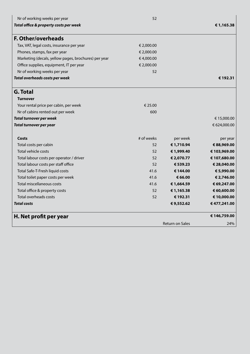| Nr of working weeks per year                         | 52         |                 |              |
|------------------------------------------------------|------------|-----------------|--------------|
| Total office & property costs per week               |            |                 | € 1,165.38   |
| <b>F. Other/overheads</b>                            |            |                 |              |
| Tax, VAT, legal costs, insurance per year            | € 2,000.00 |                 |              |
| Phones, stamps, fax per year                         | € 2,000.00 |                 |              |
| Marketing (decals, yellow pages, brochures) per year | €4,000.00  |                 |              |
| Office supplies, equipment, IT per year              | € 2,000.00 |                 |              |
| Nr of working weeks per year                         | 52         |                 |              |
| Total overheads costs per week                       |            |                 | € 192.31     |
| <b>G. Total</b>                                      |            |                 |              |
| <b>Turnover</b>                                      |            |                 |              |
| Your rental price per cabin, per week                | € 25.00    |                 |              |
| Nr of cabins rented out per week                     | 600        |                 |              |
| <b>Total turnover per week</b>                       |            |                 | € 15,000.00  |
| <b>Total turnover per year</b>                       |            |                 | € 624,000.00 |
| Costs                                                | # of weeks | per week        | per year     |
| Total costs per cabin                                | 52         | € 1,710.94      | € 88,969.00  |
| Total vehicle costs                                  | 52         | € 1,999.40      | € 103,969.00 |
| Total labour costs per operator / driver             | 52         | € 2,070.77      | € 107,680.00 |
| Total labour costs per staff office                  | 52         | € 539.23        | € 28,040.00  |
| Total Safe-T-Fresh liquid costs                      | 41.6       | € 144.00        | € 5,990.00   |
| Total toilet paper costs per week                    | 41.6       | € 66.00         | € 2,746.00   |
| Total miscellaneous costs                            | 41.6       | € 1,664.59      | € 69,247.00  |
| Total office & property costs                        | 52         | €1,165.38       | € 60,600.00  |
| Total overheads costs                                | 52         | € 192.31        | € 10,000.00  |
| <b>Total costs</b>                                   |            | €9,552.62       | €477,241.00  |
| H. Net profit per year                               |            |                 | € 146,759.00 |
|                                                      |            | Return on Sales | 24%          |
|                                                      |            |                 |              |